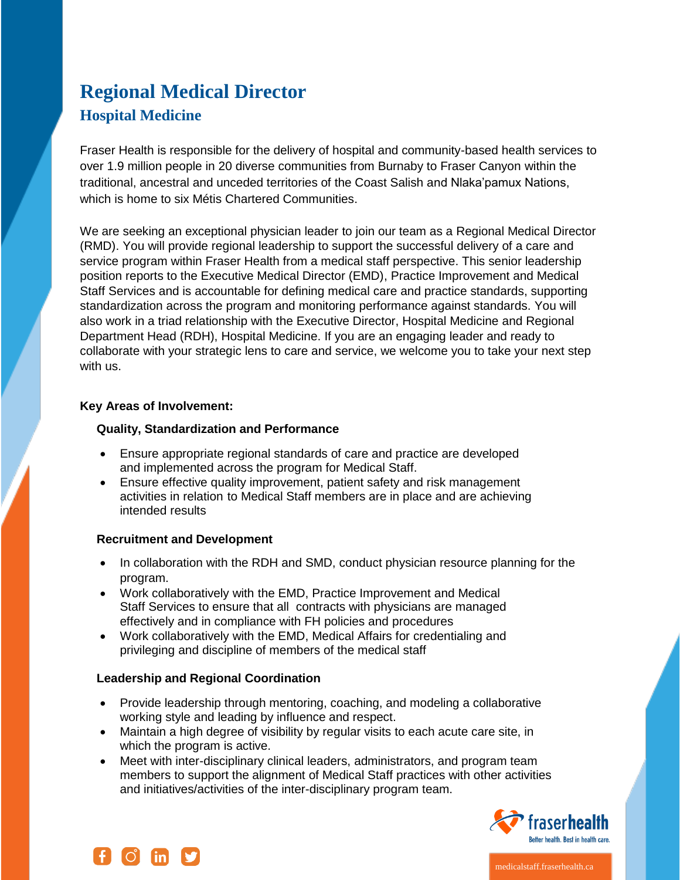# **Regional Medical Director Hospital Medicine**

Fraser Health is responsible for the delivery of hospital and community-based health services to over 1.9 million people in 20 diverse communities from Burnaby to Fraser Canyon within the traditional, ancestral and unceded territories of the Coast Salish and Nlaka'pamux Nations, which is home to six Métis Chartered Communities.

We are seeking an exceptional physician leader to join our team as a Regional Medical Director (RMD). You will provide regional leadership to support the successful delivery of a care and service program within Fraser Health from a medical staff perspective. This senior leadership position reports to the Executive Medical Director (EMD), Practice Improvement and Medical Staff Services and is accountable for defining medical care and practice standards, supporting standardization across the program and monitoring performance against standards. You will also work in a triad relationship with the Executive Director, Hospital Medicine and Regional Department Head (RDH), Hospital Medicine. If you are an engaging leader and ready to collaborate with your strategic lens to care and service, we welcome you to take your next step with us.

# **Key Areas of Involvement:**

# **Quality, Standardization and Performance**

- Ensure appropriate regional standards of care and practice are developed and implemented across the program for Medical Staff.
- Ensure effective quality improvement, patient safety and risk management activities in relation to Medical Staff members are in place and are achieving intended results

# **Recruitment and Development**

- In collaboration with the RDH and SMD, conduct physician resource planning for the program.
- Work collaboratively with the EMD, Practice Improvement and Medical Staff Services to ensure that all contracts with physicians are managed effectively and in compliance with FH policies and procedures
- Work collaboratively with the EMD, Medical Affairs for credentialing and privileging and discipline of members of the medical staff

# **Leadership and Regional Coordination**

- Provide leadership through mentoring, coaching, and modeling a collaborative working style and leading by influence and respect.
- Maintain a high degree of visibility by regular visits to each acute care site, in which the program is active.
- Meet with inter-disciplinary clinical leaders, administrators, and program team members to support the alignment of Medical Staff practices with other activities and initiatives/activities of the inter-disciplinary program team.





medicalstaff.fraserhealth.ca